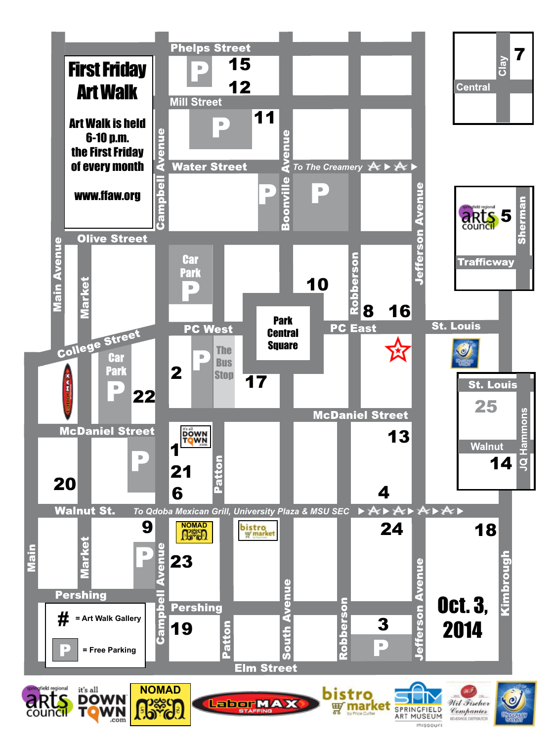